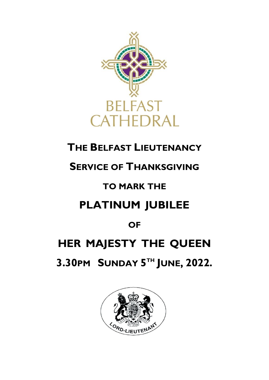

## **THE BELFAST LIEUTENANCY**

## **SERVICE OF THANKSGIVING**

## **TO MARK THE**

# **PLATINUM JUBILEE**

## **OF**

# **HER MAJESTY THE QUEEN**

**3.30PM SUNDAY 5 TH JUNE, 2022.**

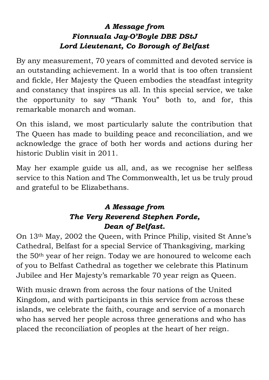### *A Message from Fionnuala Jay-O'Boyle DBE DStJ Lord Lieutenant, Co Borough of Belfast*

By any measurement, 70 years of committed and devoted service is an outstanding achievement. In a world that is too often transient and fickle, Her Majesty the Queen embodies the steadfast integrity and constancy that inspires us all. In this special service, we take the opportunity to say "Thank You" both to, and for, this remarkable monarch and woman.

On this island, we most particularly salute the contribution that The Queen has made to building peace and reconciliation, and we acknowledge the grace of both her words and actions during her historic Dublin visit in 2011.

May her example guide us all, and, as we recognise her selfless service to this Nation and The Commonwealth, let us be truly proud and grateful to be Elizabethans.

### *A Message from The Very Reverend Stephen Forde, Dean of Belfast.*

On 13th May, 2002 the Queen, with Prince Philip, visited St Anne's Cathedral, Belfast for a special Service of Thanksgiving, marking the 50th year of her reign. Today we are honoured to welcome each of you to Belfast Cathedral as together we celebrate this Platinum Jubilee and Her Majesty's remarkable 70 year reign as Queen.

With music drawn from across the four nations of the United Kingdom, and with participants in this service from across these islands, we celebrate the faith, courage and service of a monarch who has served her people across three generations and who has placed the reconciliation of peoples at the heart of her reign.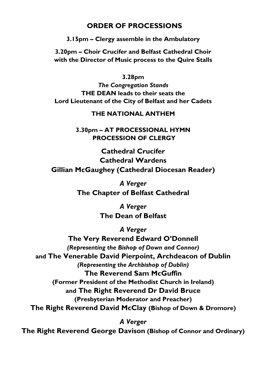### **ORDER OF PROCESSIONS**

**3.15pm – Clergy assemble in the Ambulatory** 

**3.20pm – Choir Crucifer and Belfast Cathedral Choir with the Director of Music process to the Quire Stalls**

**3.28pm**

*The Congregation Stands* **THE DEAN leads to their seats the Lord Lieutenant of the City of Belfast and her Cadets**

#### **THE NATIONAL ANTHEM**

**3.30pm – AT PROCESSIONAL HYMN PROCESSION OF CLERGY** 

**Cathedral Crucifer Cathedral Wardens Gillian McGaughey (Cathedral Diocesan Reader)** 

> *A Verger* **The Chapter of Belfast Cathedral**

> > *A Verger* **The Dean of Belfast**

> > > *A Verger*

**The Very Reverend Edward O'Donnell**  *(Representing the Bishop of Down and Connor)* **and The Venerable David Pierpoint, Archdeacon of Dublin** *(Representing the Archbishop of Dublin)* **The Reverend Sam McGuffin (Former President of the Methodist Church in Ireland) and The Right Reverend Dr David Bruce (Presbyterian Moderator and Preacher) The Right Reverend David McClay (Bishop of Down & Dromore)**

*A Verger* **The Right Reverend George Davison (Bishop of Connor and Ordinary)**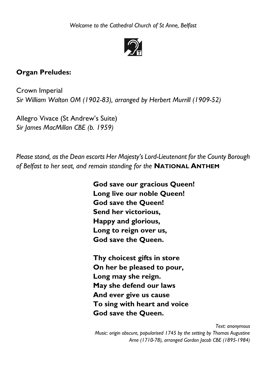

### **Organ Preludes:**

Crown Imperial *Sir William Walton OM (1902-83), arranged by Herbert Murrill (1909-52)*

Allegro Vivace (St Andrew's Suite) *Sir James MacMillan CBE (b. 1959)*

*Please stand, as the Dean escorts Her Majesty's Lord-Lieutenant for the County Borough of Belfast to her seat, and remain standing for the* **NATIONAL ANTHEM**

> **God save our gracious Queen! Long live our noble Queen! God save the Queen! Send her victorious, Happy and glorious, Long to reign over us, God save the Queen.**

**Thy choicest gifts in store On her be pleased to pour, Long may she reign. May she defend our laws And ever give us cause To sing with heart and voice God save the Queen.**

*Text: anonymous*

*Music: origin obscure, popularised 1745 by the setting by Thomas Augustine Arne (1710-78), arranged Gordon Jacob CBE (1895-1984)*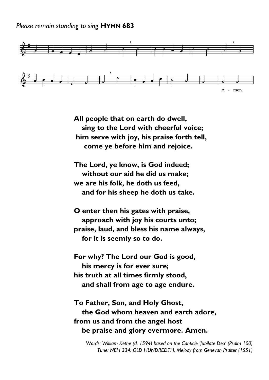*Please remain standing to sing* **HYMN 683**



**All people that on earth do dwell, sing to the Lord with cheerful voice; him serve with joy, his praise forth tell, come ye before him and rejoice.**

**The Lord, ye know, is God indeed; without our aid he did us make; we are his folk, he doth us feed, and for his sheep he doth us take.**

**O enter then his gates with praise, approach with joy his courts unto; praise, laud, and bless his name always, for it is seemly so to do.**

**For why? The Lord our God is good, his mercy is for ever sure; his truth at all times firmly stood, and shall from age to age endure.**

**To Father, Son, and Holy Ghost, the God whom heaven and earth adore, from us and from the angel host be praise and glory evermore. Amen.** 

*Words: William Kethe (d. 1594) based on the Canticle 'Jubilate Deo' (Psalm 100) Tune: NEH 334: OLD HUNDREDTH, Melody from Genevan Psalter (1551)*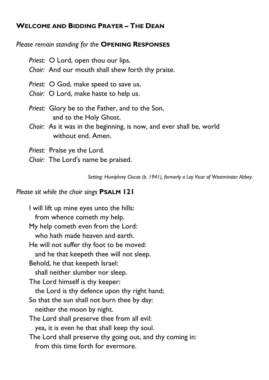### **WELCOME AND BIDDING PRAYER – THE DEAN**

#### *Please remain standing for the* **OPENING RESPONSES**

*Priest:* O Lord, open thou our lips. *Choir:* And our mouth shall shew forth thy praise. *Priest:* O God, make speed to save us. *Choir:* O Lord, make haste to help us. *Priest:* Glory be to the Father, and to the Son, and to the Holy Ghost. *Choir:* As it was in the beginning, is now, and ever shall be, world without end. Amen. *Priest:* Praise ye the Lord.

*Choir:* The Lord's name be praised.

*Setting: Humphrey Clucas (b. 1941), formerly a Lay Vicar of Westminster Abbey.*

#### *Please sit while the choir sings* **PSALM 121**

I will lift up mine eyes unto the hills: from whence cometh my help. My help cometh even from the Lord: who hath made heaven and earth. He will not suffer thy foot to be moved: and he that keepeth thee will not sleep. Behold, he that keepeth Israel: shall neither slumber nor sleep. The Lord himself is thy keeper: the Lord is thy defence upon thy right hand; So that the sun shall not burn thee by day: neither the moon by night. The Lord shall preserve thee from all evil: yea, it is even he that shall keep thy soul. The Lord shall preserve thy going out, and thy coming in: from this time forth for evermore.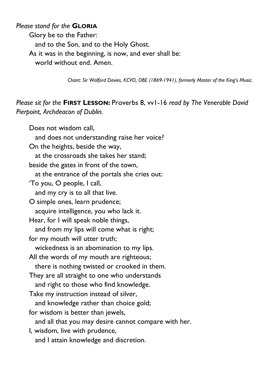#### *Please stand for the* **GLORIA**

Glory be to the Father: and to the Son, and to the Holy Ghost. As it was in the beginning, is now, and ever shall be: world without end. Amen.

*Chant: Sir Walford Davies, KCVO, OBE (1869-1941), formerly Master of the King's Music.*

*Please sit for the* **FIRST LESSON:** Proverbs 8, vv1-16 *read by The Venerable David Pierpoint, Archdeacon of Dublin.* 

Does not wisdom call, and does not understanding raise her voice? On the heights, beside the way, at the crossroads she takes her stand; beside the gates in front of the town, at the entrance of the portals she cries out: 'To you, O people, I call, and my cry is to all that live. O simple ones, learn prudence; acquire intelligence, you who lack it. Hear, for I will speak noble things, and from my lips will come what is right; for my mouth will utter truth; wickedness is an abomination to my lips. All the words of my mouth are righteous; there is nothing twisted or crooked in them. They are all straight to one who understands and right to those who find knowledge. Take my instruction instead of silver, and knowledge rather than choice gold; for wisdom is better than jewels, and all that you may desire cannot compare with her. I, wisdom, live with prudence, and I attain knowledge and discretion.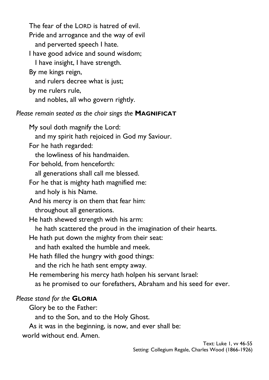The fear of the LORD is hatred of evil. Pride and arrogance and the way of evil and perverted speech I hate. I have good advice and sound wisdom; I have insight, I have strength. By me kings reign, and rulers decree what is just; by me rulers rule, and nobles, all who govern rightly.

*Please remain seated as the choir sings the* **MAGNIFICAT**

My soul doth magnify the Lord:

and my spirit hath rejoiced in God my Saviour.

For he hath regarded:

the lowliness of his handmaiden.

For behold, from henceforth:

all generations shall call me blessed.

For he that is mighty hath magnified me: and holy is his Name.

And his mercy is on them that fear him: throughout all generations.

He hath shewed strength with his arm:

he hath scattered the proud in the imagination of their hearts.

He hath put down the mighty from their seat:

and hath exalted the humble and meek.

He hath filled the hungry with good things:

and the rich he hath sent empty away.

He remembering his mercy hath holpen his servant Israel:

as he promised to our forefathers, Abraham and his seed for ever.

### *Please stand for the* **GLORIA**

Glory be to the Father:

and to the Son, and to the Holy Ghost.

As it was in the beginning, is now, and ever shall be:

world without end. Amen.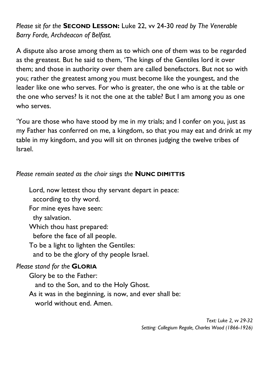*Please sit for the* **SECOND LESSON:** Luke 22, vv 24-30 *read by The Venerable Barry Forde, Archdeacon of Belfast.*

A dispute also arose among them as to which one of them was to be regarded as the greatest. But he said to them, 'The kings of the Gentiles lord it over them; and those in authority over them are called benefactors. But not so with you; rather the greatest among you must become like the youngest, and the leader like one who serves. For who is greater, the one who is at the table or the one who serves? Is it not the one at the table? But I am among you as one who serves.

'You are those who have stood by me in my trials; and I confer on you, just as my Father has conferred on me, a kingdom, so that you may eat and drink at my table in my kingdom, and you will sit on thrones judging the twelve tribes of Israel.

#### *Please remain seated as the choir sings the* **NUNC DIMITTIS**

Lord, now lettest thou thy servant depart in peace:

according to thy word.

For mine eyes have seen:

thy salvation.

Which thou hast prepared:

before the face of all people.

To be a light to lighten the Gentiles:

and to be the glory of thy people Israel.

### *Please stand for the* **GLORIA**

Glory be to the Father: and to the Son, and to the Holy Ghost. As it was in the beginning, is now, and ever shall be: world without end. Amen.

> *Text: Luke 2, vv 29-32 Setting: Collegium Regale, Charles Wood (1866-1926)*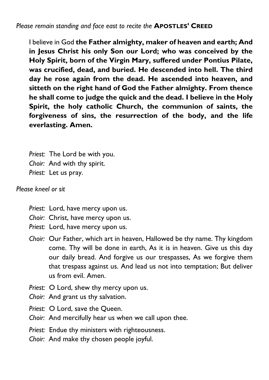*Please remain standing and face east to recite the* **APOSTLES' CREED**

I believe in God **the Father almighty, maker of heaven and earth; And in Jesus Christ his only Son our Lord; who was conceived by the Holy Spirit, born of the Virgin Mary, suffered under Pontius Pilate, was crucified, dead, and buried. He descended into hell. The third day he rose again from the dead. He ascended into heaven, and sitteth on the right hand of God the Father almighty. From thence he shall come to judge the quick and the dead. I believe in the Holy Spirit, the holy catholic Church, the communion of saints, the forgiveness of sins, the resurrection of the body, and the life everlasting. Amen.**

*Priest:* The Lord be with you. *Choir:* And with thy spirit. *Priest:* Let us pray.

*Please kneel or sit*

- *Priest:* Lord, have mercy upon us.
- *Choir:* Christ, have mercy upon us.
- *Priest:* Lord, have mercy upon us.
- *Choir:* Our Father, which art in heaven, Hallowed be thy name. Thy kingdom come. Thy will be done in earth, As it is in heaven. Give us this day our daily bread. And forgive us our trespasses, As we forgive them that trespass against us. And lead us not into temptation; But deliver us from evil. Amen.
- *Priest:* O Lord, shew thy mercy upon us.
- *Choir:* And grant us thy salvation.
- *Priest:* O Lord, save the Queen.
- *Choir:* And mercifully hear us when we call upon thee.
- *Priest:* Endue thy ministers with righteousness.
- *Choir:* And make thy chosen people joyful.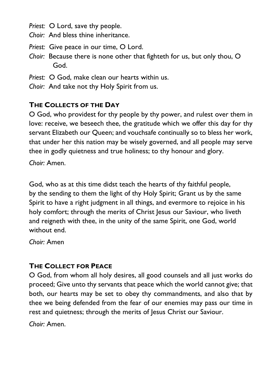*Priest:* O Lord, save thy people.

*Choir:* And bless thine inheritance.

- *Priest:* Give peace in our time, O Lord.
- *Choir:* Because there is none other that fighteth for us, but only thou, O God.
- *Priest:* O God, make clean our hearts within us.
- *Choir:* And take not thy Holy Spirit from us.

### **THE COLLECTS OF THE DAY**

O God, who providest for thy people by thy power, and rulest over them in love: receive, we beseech thee, the gratitude which we offer this day for thy servant Elizabeth our Queen; and vouchsafe continually so to bless her work, that under her this nation may be wisely governed, and all people may serve thee in godly quietness and true holiness; to thy honour and glory.

*Choir:* Amen.

God, who as at this time didst teach the hearts of thy faithful people, by the sending to them the light of thy Holy Spirit; Grant us by the same Spirit to have a right judgment in all things, and evermore to rejoice in his holy comfort; through the merits of Christ Jesus our Saviour, who liveth and reigneth with thee, in the unity of the same Spirit, one God, world without end.

*Choir:* Amen

### **THE COLLECT FOR PEACE**

O God, from whom all holy desires, all good counsels and all just works do proceed; Give unto thy servants that peace which the world cannot give; that both, our hearts may be set to obey thy commandments, and also that by thee we being defended from the fear of our enemies may pass our time in rest and quietness; through the merits of Jesus Christ our Saviour.

*Choir:* Amen.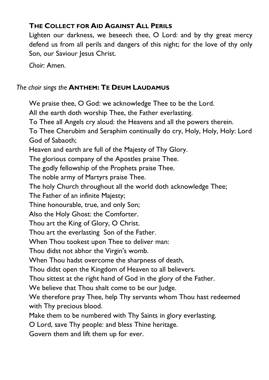### **THE COLLECT FOR AID AGAINST ALL PERILS**

Lighten our darkness, we beseech thee, O Lord: and by thy great mercy defend us from all perils and dangers of this night; for the love of thy only Son, our Saviour Jesus Christ.

*Choir:* Amen.

### *The choir sings the* **ANTHEM: TE DEUM LAUDAMUS**

We praise thee, O God: we acknowledge Thee to be the Lord.

All the earth doth worship Thee, the Father everlasting.

To Thee all Angels cry aloud: the Heavens and all the powers therein.

To Thee Cherubim and Seraphim continually do cry, Holy, Holy, Holy: Lord God of Sabaoth;

Heaven and earth are full of the Majesty of Thy Glory.

The glorious company of the Apostles praise Thee.

The godly fellowship of the Prophets praise Thee.

The noble army of Martyrs praise Thee.

The holy Church throughout all the world doth acknowledge Thee;

The Father of an infinite Majesty;

Thine honourable, true, and only Son;

Also the Holy Ghost: the Comforter.

Thou art the King of Glory, O Christ.

Thou art the everlasting Son of the Father.

When Thou tookest upon Thee to deliver man:

Thou didst not abhor the Virgin's womb.

When Thou hadst overcome the sharpness of death,

Thou didst open the Kingdom of Heaven to all believers.

Thou sittest at the right hand of God in the glory of the Father.

We believe that Thou shalt come to be our Judge.

We therefore pray Thee, help Thy servants whom Thou hast redeemed with Thy precious blood.

Make them to be numbered with Thy Saints in glory everlasting.

O Lord, save Thy people: and bless Thine heritage.

Govern them and lift them up for ever.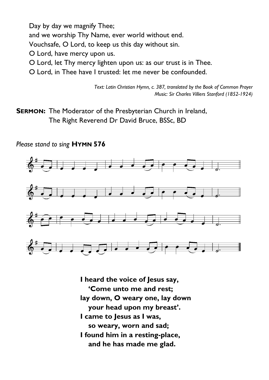Day by day we magnify Thee; and we worship Thy Name, ever world without end. Vouchsafe, O Lord, to keep us this day without sin. O Lord, have mercy upon us. O Lord, let Thy mercy lighten upon us: as our trust is in Thee.

O Lord, in Thee have I trusted: let me never be confounded.

*Text: Latin Christian Hymn, c. 387, translated by the Book of Common Prayer Music: Sir Charles Villiers Stanford (1852-1924)*

**SERMON:** The Moderator of the Presbyterian Church in Ireland, The Right Reverend Dr David Bruce, BSSc, BD

*Please stand to sing* **HYMN 576**



**I heard the voice of Jesus say, 'Come unto me and rest; lay down, O weary one, lay down your head upon my breast'. I came to Jesus as I was, so weary, worn and sad; I found him in a resting-place, and he has made me glad.**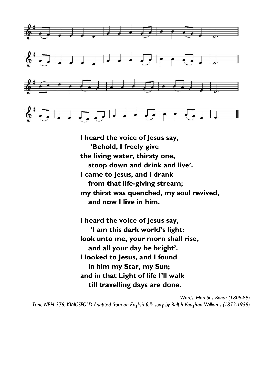

**I heard the voice of Jesus say, 'Behold, I freely give the living water, thirsty one, stoop down and drink and live'. I came to Jesus, and I drank from that life-giving stream; my thirst was quenched, my soul revived, and now I live in him.**

**I heard the voice of Jesus say, 'I am this dark world's light: look unto me, your morn shall rise, and all your day be bright'. I looked to Jesus, and I found in him my Star, my Sun; and in that Light of life I'll walk till travelling days are done.**

*Words: Horatius Bonar (1808-89) Tune NEH 376: KINGSFOLD Adapted from an English folk song by Ralph Vaughan Williams (1872-1958)*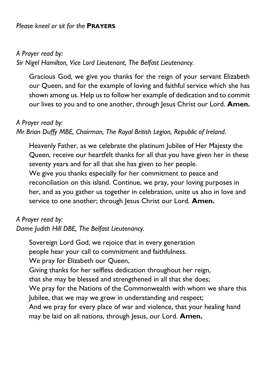### *Please kneel or sit for the* **PRAYERS**

### *A Prayer read by:*

*Sir Nigel Hamilton, Vice Lord Lieutenant, The Belfast Lieutenancy.*

Gracious God, we give you thanks for the reign of your servant Elizabeth our Queen, and for the example of loving and faithful service which she has shown among us. Help us to follow her example of dedication and to commit our lives to you and to one another, through Jesus Christ our Lord. **Amen.**

### *A Prayer read by:*

### *Mr Brian Duffy MBE, Chairman, The Royal British Legion, Republic of Ireland.*

Heavenly Father, as we celebrate the platinum Jubilee of Her Majesty the Queen, receive our heartfelt thanks for all that you have given her in these seventy years and for all that she has given to her people. We give you thanks especially for her commitment to peace and reconciliation on this island. Continue, we pray, your loving purposes in her, and as you gather us together in celebration, unite us also in love and service to one another; through Jesus Christ our Lord. Amen.

### *A Prayer read by:*

*Dame Judith Hill DBE, The Belfast Lieutenancy.*

Sovereign Lord God, we rejoice that in every generation people hear your call to commitment and faithfulness. We pray for Elizabeth our Queen, Giving thanks for her selfless dedication throughout her reign, that she may be blessed and strengthened in all that she does; We pray for the Nations of the Commonwealth with whom we share this Jubilee, that we may we grow in understanding and respect; And we pray for every place of war and violence, that your healing hand may be laid on all nations, through Jesus, our Lord. **Amen.**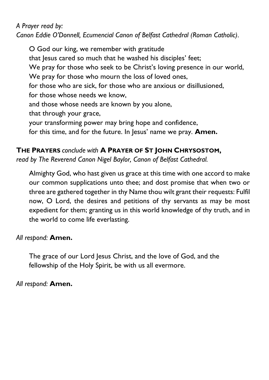### *A Prayer read by:*

*Canon Eddie O'Donnell, Ecumencial Canon of Belfast Cathedral (Roman Catholic).*

O God our king, we remember with gratitude that Jesus cared so much that he washed his disciples' feet; We pray for those who seek to be Christ's loving presence in our world, We pray for those who mourn the loss of loved ones, for those who are sick, for those who are anxious or disillusioned, for those whose needs we know, and those whose needs are known by you alone, that through your grace, your transforming power may bring hope and confidence, for this time, and for the future. In Jesus' name we pray. **Amen.**

### **THE PRAYERS** *conclude with* **A PRAYER OF ST JOHN CHRYSOSTOM,**

*read by The Reverend Canon Nigel Baylor, Canon of Belfast Cathedral.*

Almighty God, who hast given us grace at this time with one accord to make our common supplications unto thee; and dost promise that when two or three are gathered together in thy Name thou wilt grant their requests: Fulfil now, O Lord, the desires and petitions of thy servants as may be most expedient for them; granting us in this world knowledge of thy truth, and in the world to come life everlasting.

### *All respond:* **Amen.**

The grace of our Lord Jesus Christ, and the love of God, and the fellowship of the Holy Spirit, be with us all evermore.

*All respond:* **Amen.**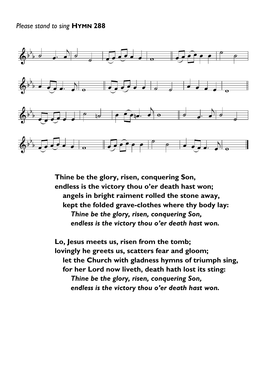#### *Please stand to sing* **HYMN 288**



**Thine be the glory, risen, conquering Son, endless is the victory thou o'er death hast won; angels in bright raiment rolled the stone away, kept the folded grave-clothes where thy body lay:** *Thine be the glory, risen, conquering Son,* *endless is the victory thou o'er death hast won.*

**Lo, Jesus meets us, risen from the tomb; lovingly he greets us, scatters fear and gloom; let the Church with gladness hymns of triumph sing, for her Lord now liveth, death hath lost its sting:** *Thine be the glory, risen, conquering Son,* *endless is the victory thou o'er death hast won.*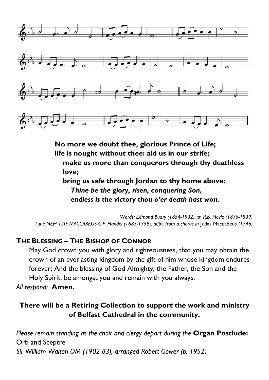

**No more we doubt thee, glorious Prince of Life; life is nought without thee: aid us in our strife; make us more than conquerors through thy deathless love; bring us safe through Jordan to thy home above:** 

*Thine be the glory, risen, conquering Son,* *endless is the victory thou o'er death hast won.*

*Words: Edmond Budry (1854-1932), tr. R.B. Hoyle (1875-1939) Tune NEH 120: MACCABEUS G.F. Handel (1685-1759), adpt. from a chorus in* Judas Maccabeus *(1746)*

### **THE BLESSING – THE BISHOP OF CONNOR**

May God crown you with glory and righteousness, that you may obtain the crown of an everlasting kingdom by the gift of him whose kingdom endures forever; And the blessing of God Almighty, the Father, the Son and the Holy Spirit, be amongst you and remain with you always.

*All respond:* **Amen.**

### **There will be a Retiring Collection to support the work and ministry of Belfast Cathedral in the community.**

*Please remain standing as the choir and clergy depart during the* **Organ Postlude:** Orb and Sceptre *Sir William Walton OM (1902-83), arranged Robert Gower (b. 1952)*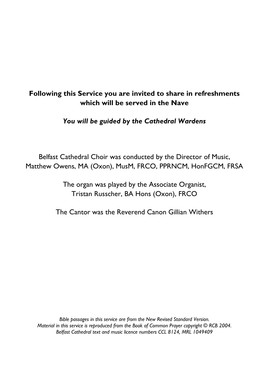### **Following this Service you are invited to share in refreshments which will be served in the Nave**

*You will be guided by the Cathedral Wardens*

Belfast Cathedral Choir was conducted by the Director of Music, Matthew Owens, MA (Oxon), MusM, FRCO, PPRNCM, HonFGCM, FRSA

> The organ was played by the Associate Organist, Tristan Russcher, BA Hons (Oxon), FRCO

The Cantor was the Reverend Canon Gillian Withers

*Bible passages in this service are from the New Revised Standard Version. Material in this service is reproduced from the Book of Common Prayer copyright © RCB 2004. Belfast Cathedral text and music licence numbers CCL 8124, MRL 1049409*